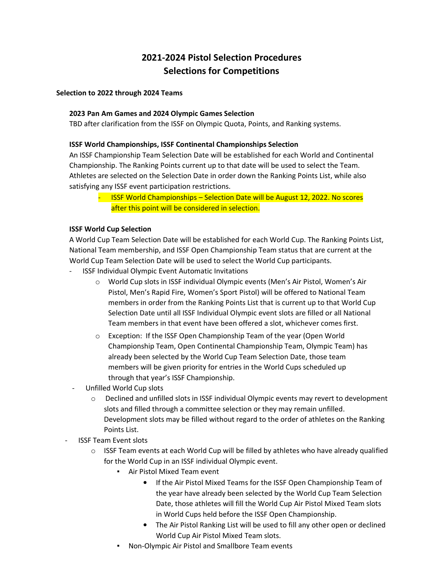# **2021-2024 Pistol Selection Procedures Selections for Competitions**

#### **Selection to 2022 through 2024 Teams**

### **2023 Pan Am Games and 2024 Olympic Games Selection**

TBD after clarification from the ISSF on Olympic Quota, Points, and Ranking systems.

### **ISSF World Championships, ISSF Continental Championships Selection**

An ISSF Championship Team Selection Date will be established for each World and Continental Championship. The Ranking Points current up to that date will be used to select the Team. Athletes are selected on the Selection Date in order down the Ranking Points List, while also satisfying any ISSF event participation restrictions.

- ISSF World Championships – Selection Date will be August 12, 2022. No scores after this point will be considered in selection.

### **ISSF World Cup Selection**

A World Cup Team Selection Date will be established for each World Cup. The Ranking Points List, National Team membership, and ISSF Open Championship Team status that are current at the World Cup Team Selection Date will be used to select the World Cup participants.

- ISSF Individual Olympic Event Automatic Invitations
	- o World Cup slots in ISSF individual Olympic events (Men's Air Pistol, Women's Air Pistol, Men's Rapid Fire, Women's Sport Pistol) will be offered to National Team members in order from the Ranking Points List that is current up to that World Cup Selection Date until all ISSF Individual Olympic event slots are filled or all National Team members in that event have been offered a slot, whichever comes first.
	- o Exception: If the ISSF Open Championship Team of the year (Open World Championship Team, Open Continental Championship Team, Olympic Team) has already been selected by the World Cup Team Selection Date, those team members will be given priority for entries in the World Cups scheduled up through that year's ISSF Championship.
- Unfilled World Cup slots
	- $\circ$  Declined and unfilled slots in ISSF individual Olympic events may revert to development slots and filled through a committee selection or they may remain unfilled. Development slots may be filled without regard to the order of athletes on the Ranking Points List.
- **ISSF Team Event slots** 
	- $\circ$  ISSF Team events at each World Cup will be filled by athletes who have already qualified for the World Cup in an ISSF individual Olympic event.
		- Air Pistol Mixed Team event
			- If the Air Pistol Mixed Teams for the ISSF Open Championship Team of the year have already been selected by the World Cup Team Selection Date, those athletes will fill the World Cup Air Pistol Mixed Team slots in World Cups held before the ISSF Open Championship.
			- The Air Pistol Ranking List will be used to fill any other open or declined World Cup Air Pistol Mixed Team slots.
		- Non-Olympic Air Pistol and Smallbore Team events